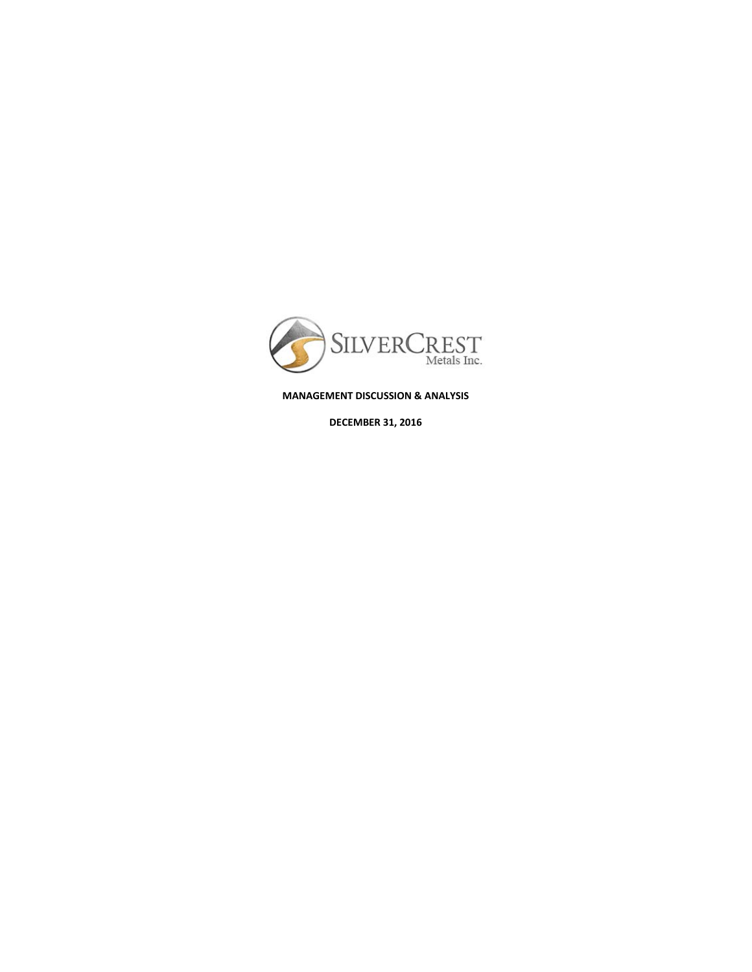

**MANAGEMENT DISCUSSION & ANALYSIS**

**DECEMBER 31, 2016**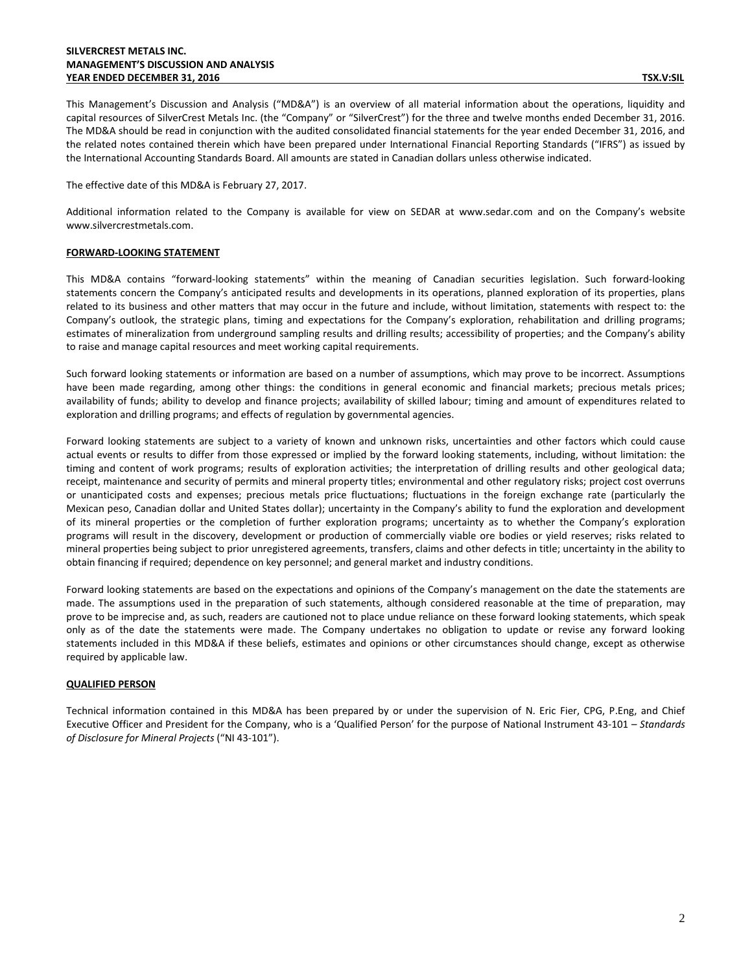## **SILVERCREST METALS INC. MANAGEMENT'S DISCUSSION AND ANALYSIS YEAR ENDED DECEMBER 31, 2016 TSX.V:SIL**

This Management's Discussion and Analysis ("MD&A") is an overview of all material information about the operations, liquidity and capital resources of SilverCrest Metals Inc. (the "Company" or "SilverCrest") for the three and twelve months ended December 31, 2016. The MD&A should be read in conjunction with the audited consolidated financial statements for the year ended December 31, 2016, and the related notes contained therein which have been prepared under International Financial Reporting Standards ("IFRS") as issued by the International Accounting Standards Board. All amounts are stated in Canadian dollars unless otherwise indicated.

The effective date of this MD&A is February 27, 2017.

Additional information related to the Company is available for view on SEDAR at [www.sedar.com](http://www.sedar.com/) and on the Company's website [www.silvercrestmetals.com.](http://www.silvercrestmetals.com/) 

## **FORWARD-LOOKING STATEMENT**

This MD&A contains "forward-looking statements" within the meaning of Canadian securities legislation. Such forward-looking statements concern the Company's anticipated results and developments in its operations, planned exploration of its properties, plans related to its business and other matters that may occur in the future and include, without limitation, statements with respect to: the Company's outlook, the strategic plans, timing and expectations for the Company's exploration, rehabilitation and drilling programs; estimates of mineralization from underground sampling results and drilling results; accessibility of properties; and the Company's ability to raise and manage capital resources and meet working capital requirements.

Such forward looking statements or information are based on a number of assumptions, which may prove to be incorrect. Assumptions have been made regarding, among other things: the conditions in general economic and financial markets; precious metals prices; availability of funds; ability to develop and finance projects; availability of skilled labour; timing and amount of expenditures related to exploration and drilling programs; and effects of regulation by governmental agencies.

Forward looking statements are subject to a variety of known and unknown risks, uncertainties and other factors which could cause actual events or results to differ from those expressed or implied by the forward looking statements, including, without limitation: the timing and content of work programs; results of exploration activities; the interpretation of drilling results and other geological data; receipt, maintenance and security of permits and mineral property titles; environmental and other regulatory risks; project cost overruns or unanticipated costs and expenses; precious metals price fluctuations; fluctuations in the foreign exchange rate (particularly the Mexican peso, Canadian dollar and United States dollar); uncertainty in the Company's ability to fund the exploration and development of its mineral properties or the completion of further exploration programs; uncertainty as to whether the Company's exploration programs will result in the discovery, development or production of commercially viable ore bodies or yield reserves; risks related to mineral properties being subject to prior unregistered agreements, transfers, claims and other defects in title; uncertainty in the ability to obtain financing if required; dependence on key personnel; and general market and industry conditions.

Forward looking statements are based on the expectations and opinions of the Company's management on the date the statements are made. The assumptions used in the preparation of such statements, although considered reasonable at the time of preparation, may prove to be imprecise and, as such, readers are cautioned not to place undue reliance on these forward looking statements, which speak only as of the date the statements were made. The Company undertakes no obligation to update or revise any forward looking statements included in this MD&A if these beliefs, estimates and opinions or other circumstances should change, except as otherwise required by applicable law.

## **QUALIFIED PERSON**

Technical information contained in this MD&A has been prepared by or under the supervision of N. Eric Fier, CPG, P.Eng, and Chief Executive Officer and President for the Company, who is a 'Qualified Person' for the purpose of National Instrument 43-101 – *Standards of Disclosure for Mineral Projects* ("NI 43-101").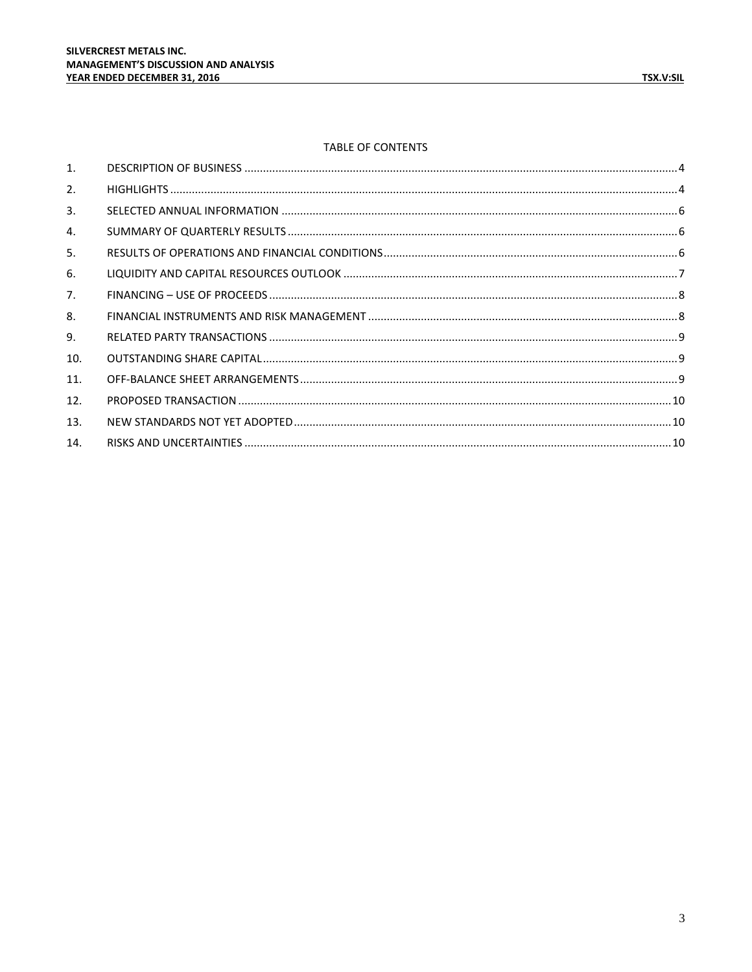# TABLE OF CONTENTS

| 1.  |  |
|-----|--|
| 2.  |  |
| 3.  |  |
| 4.  |  |
| 5.  |  |
| 6.  |  |
| 7.  |  |
| 8.  |  |
| 9.  |  |
| 10. |  |
| 11. |  |
| 12. |  |
| 13. |  |
| 14. |  |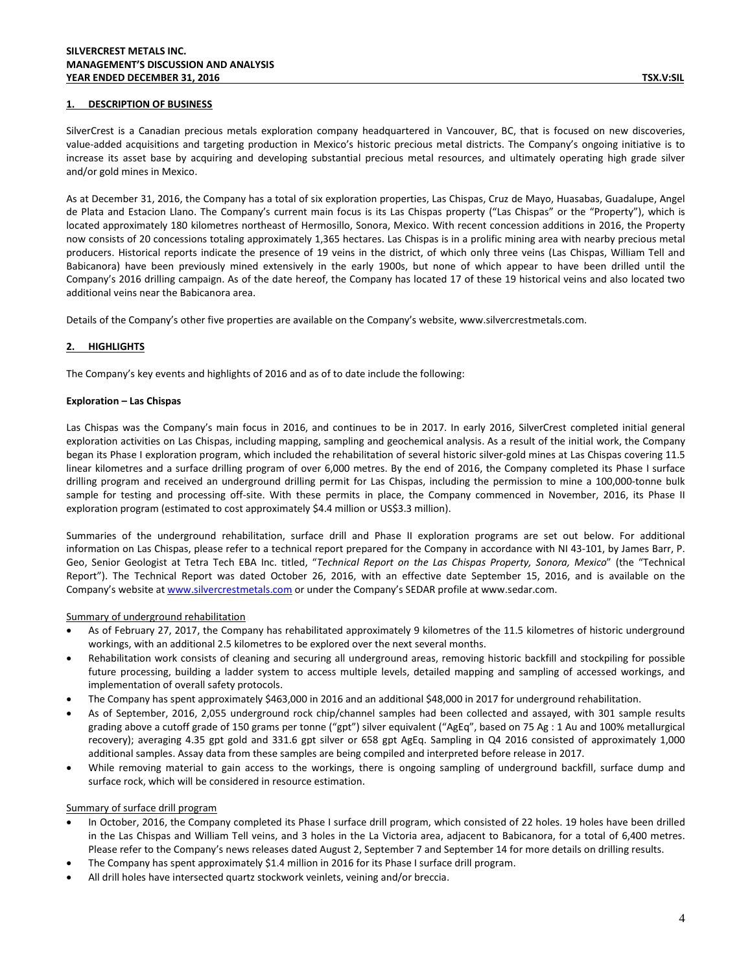## <span id="page-3-0"></span>**1. DESCRIPTION OF BUSINESS**

SilverCrest is a Canadian precious metals exploration company headquartered in Vancouver, BC, that is focused on new discoveries, value-added acquisitions and targeting production in Mexico's historic precious metal districts. The Company's ongoing initiative is to increase its asset base by acquiring and developing substantial precious metal resources, and ultimately operating high grade silver and/or gold mines in Mexico.

As at December 31, 2016, the Company has a total of six exploration properties, Las Chispas, Cruz de Mayo, Huasabas, Guadalupe, Angel de Plata and Estacion Llano. The Company's current main focus is its Las Chispas property ("Las Chispas" or the "Property"), which is located approximately 180 kilometres northeast of Hermosillo, Sonora, Mexico. With recent concession additions in 2016, the Property now consists of 20 concessions totaling approximately 1,365 hectares. Las Chispas is in a prolific mining area with nearby precious metal producers. Historical reports indicate the presence of 19 veins in the district, of which only three veins (Las Chispas, William Tell and Babicanora) have been previously mined extensively in the early 1900s, but none of which appear to have been drilled until the Company's 2016 drilling campaign. As of the date hereof, the Company has located 17 of these 19 historical veins and also located two additional veins near the Babicanora area.

Details of the Company's other five properties are available on the Company's website[, www.silvercrestmetals.com.](http://www.silvercrestmetals.com/)

## <span id="page-3-1"></span>**2. HIGHLIGHTS**

The Company's key events and highlights of 2016 and as of to date include the following:

#### **Exploration – Las Chispas**

Las Chispas was the Company's main focus in 2016, and continues to be in 2017. In early 2016, SilverCrest completed initial general exploration activities on Las Chispas, including mapping, sampling and geochemical analysis. As a result of the initial work, the Company began its Phase I exploration program, which included the rehabilitation of several historic silver-gold mines at Las Chispas covering 11.5 linear kilometres and a surface drilling program of over 6,000 metres. By the end of 2016, the Company completed its Phase I surface drilling program and received an underground drilling permit for Las Chispas, including the permission to mine a 100,000-tonne bulk sample for testing and processing off-site. With these permits in place, the Company commenced in November, 2016, its Phase II exploration program (estimated to cost approximately \$4.4 million or US\$3.3 million).

Summaries of the underground rehabilitation, surface drill and Phase II exploration programs are set out below. For additional information on Las Chispas, please refer to a technical report prepared for the Company in accordance with NI 43-101, by James Barr, P. Geo, Senior Geologist at Tetra Tech EBA Inc. titled, "*Technical Report on the Las Chispas Property, Sonora, Mexico*" (the "Technical Report"). The Technical Report was dated October 26, 2016, with an effective date September 15, 2016, and is available on the Company's website a[t www.silvercrestmetals.com](http://www.silvercrestmetals.com/) or under the Company's SEDAR profile at www.sedar.com.

## Summary of underground rehabilitation

- As of February 27, 2017, the Company has rehabilitated approximately 9 kilometres of the 11.5 kilometres of historic underground workings, with an additional 2.5 kilometres to be explored over the next several months.
- Rehabilitation work consists of cleaning and securing all underground areas, removing historic backfill and stockpiling for possible future processing, building a ladder system to access multiple levels, detailed mapping and sampling of accessed workings, and implementation of overall safety protocols.
- The Company has spent approximately \$463,000 in 2016 and an additional \$48,000 in 2017 for underground rehabilitation.
- As of September, 2016, 2,055 underground rock chip/channel samples had been collected and assayed, with 301 sample results grading above a cutoff grade of 150 grams per tonne ("gpt") silver equivalent ("AgEq", based on 75 Ag : 1 Au and 100% metallurgical recovery); averaging 4.35 gpt gold and 331.6 gpt silver or 658 gpt AgEq. Sampling in Q4 2016 consisted of approximately 1,000 additional samples. Assay data from these samples are being compiled and interpreted before release in 2017.
- While removing material to gain access to the workings, there is ongoing sampling of underground backfill, surface dump and surface rock, which will be considered in resource estimation.

## Summary of surface drill program

- In October, 2016, the Company completed its Phase I surface drill program, which consisted of 22 holes. 19 holes have been drilled in the Las Chispas and William Tell veins, and 3 holes in the La Victoria area, adjacent to Babicanora, for a total of 6,400 metres. Please refer to the Company's news releases dated August 2, September 7 and September 14 for more details on drilling results.
- The Company has spent approximately \$1.4 million in 2016 for its Phase I surface drill program.
- All drill holes have intersected quartz stockwork veinlets, veining and/or breccia.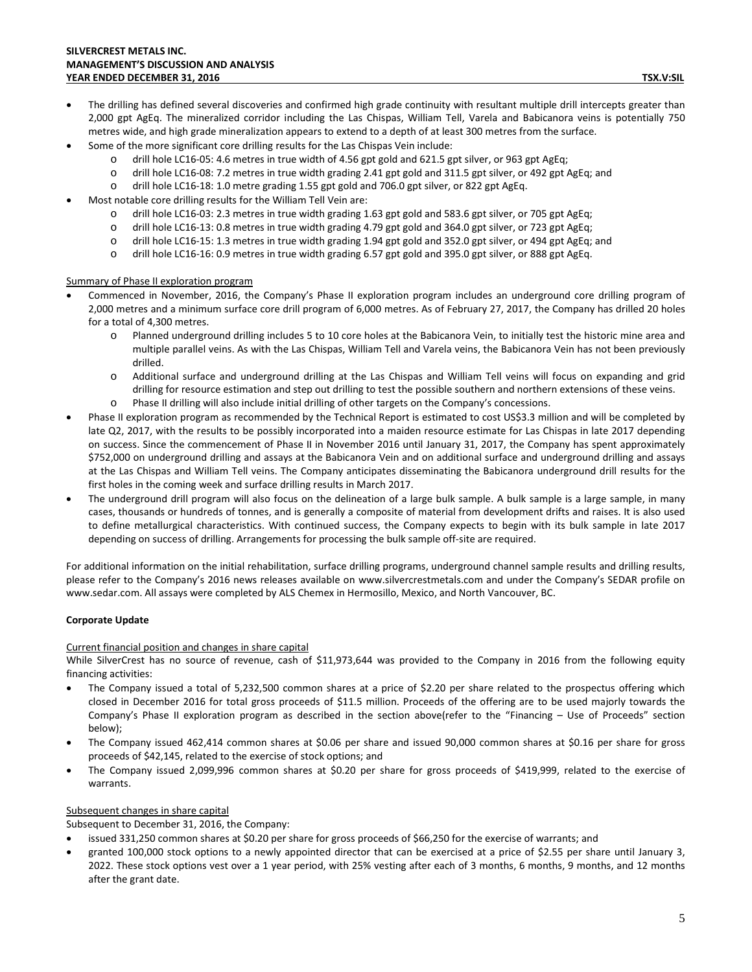- Some of the more significant core drilling results for the Las Chispas Vein include:
	- o drill hole LC16-05: 4.6 metres in true width of 4.56 gpt gold and 621.5 gpt silver, or 963 gpt AgEq;
	- o drill hole LC16-08: 7.2 metres in true width grading 2.41 gpt gold and 311.5 gpt silver, or 492 gpt AgEq; and
	- o drill hole LC16-18: 1.0 metre grading 1.55 gpt gold and 706.0 gpt silver, or 822 gpt AgEq.
- Most notable core drilling results for the William Tell Vein are:
	- o drill hole LC16-03: 2.3 metres in true width grading 1.63 gpt gold and 583.6 gpt silver, or 705 gpt AgEq;
	- o drill hole LC16-13: 0.8 metres in true width grading 4.79 gpt gold and 364.0 gpt silver, or 723 gpt AgEq;
	- o drill hole LC16-15: 1.3 metres in true width grading 1.94 gpt gold and 352.0 gpt silver, or 494 gpt AgEq; and
	- o drill hole LC16-16: 0.9 metres in true width grading 6.57 gpt gold and 395.0 gpt silver, or 888 gpt AgEq.

## Summary of Phase II exploration program

- Commenced in November, 2016, the Company's Phase II exploration program includes an underground core drilling program of 2,000 metres and a minimum surface core drill program of 6,000 metres. As of February 27, 2017, the Company has drilled 20 holes for a total of 4,300 metres.
	- o Planned underground drilling includes 5 to 10 core holes at the Babicanora Vein, to initially test the historic mine area and multiple parallel veins. As with the Las Chispas, William Tell and Varela veins, the Babicanora Vein has not been previously drilled.
	- o Additional surface and underground drilling at the Las Chispas and William Tell veins will focus on expanding and grid drilling for resource estimation and step out drilling to test the possible southern and northern extensions of these veins.
	- o Phase II drilling will also include initial drilling of other targets on the Company's concessions.
- Phase II exploration program as recommended by the Technical Report is estimated to cost US\$3.3 million and will be completed by late Q2, 2017, with the results to be possibly incorporated into a maiden resource estimate for Las Chispas in late 2017 depending on success. Since the commencement of Phase II in November 2016 until January 31, 2017, the Company has spent approximately \$752,000 on underground drilling and assays at the Babicanora Vein and on additional surface and underground drilling and assays at the Las Chispas and William Tell veins. The Company anticipates disseminating the Babicanora underground drill results for the first holes in the coming week and surface drilling results in March 2017.
- The underground drill program will also focus on the delineation of a large bulk sample. A bulk sample is a large sample, in many cases, thousands or hundreds of tonnes, and is generally a composite of material from development drifts and raises. It is also used to define metallurgical characteristics. With continued success, the Company expects to begin with its bulk sample in late 2017 depending on success of drilling. Arrangements for processing the bulk sample off-site are required.

For additional information on the initial rehabilitation, surface drilling programs, underground channel sample results and drilling results, please refer to the Company's 2016 news releases available on [www.silvercrestmetals.com](http://www.silvercrestmetals.com/) and under the Company's SEDAR profile on [www.sedar.com.](http://www.sedar.com/) All assays were completed by ALS Chemex in Hermosillo, Mexico, and North Vancouver, BC.

# **Corporate Update**

## Current financial position and changes in share capital

While SilverCrest has no source of revenue, cash of \$11,973,644 was provided to the Company in 2016 from the following equity financing activities:

- The Company issued a total of 5,232,500 common shares at a price of \$2.20 per share related to the prospectus offering which closed in December 2016 for total gross proceeds of \$11.5 million. Proceeds of the offering are to be used majorly towards the Company's Phase II exploration program as described in the section above(refer to the "Financing – Use of Proceeds" section below);
- The Company issued 462,414 common shares at \$0.06 per share and issued 90,000 common shares at \$0.16 per share for gross proceeds of \$42,145, related to the exercise of stock options; and
- The Company issued 2,099,996 common shares at \$0.20 per share for gross proceeds of \$419,999, related to the exercise of warrants.

# Subsequent changes in share capital

Subsequent to December 31, 2016, the Company:

- issued 331,250 common shares at \$0.20 per share for gross proceeds of \$66,250 for the exercise of warrants; and
- granted 100,000 stock options to a newly appointed director that can be exercised at a price of \$2.55 per share until January 3, 2022. These stock options vest over a 1 year period, with 25% vesting after each of 3 months, 6 months, 9 months, and 12 months after the grant date.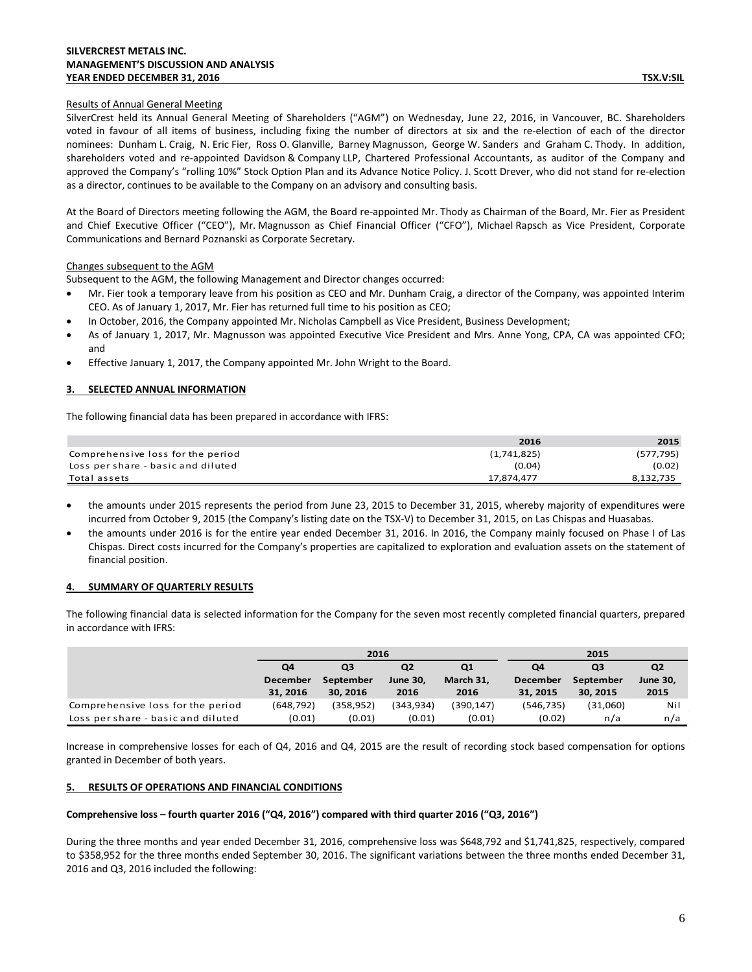## **SILVERCREST METALS INC. MANAGEMENT'S DISCUSSION AND ANALYSIS YEAR ENDED DECEMBER 31, 2016 TSX.V:SIL**

# Results of Annual General Meeting

SilverCrest held its Annual General Meeting of Shareholders ("AGM") on Wednesday, June 22, 2016, in Vancouver, BC. Shareholders voted in favour of all items of business, including fixing the number of directors at six and the re-election of each of the director nominees: Dunham L. Craig, N. Eric Fier, Ross O. Glanville, Barney Magnusson, George W. Sanders and Graham C. Thody. In addition, shareholders voted and re-appointed Davidson & Company LLP, Chartered Professional Accountants, as auditor of the Company and approved the Company's "rolling 10%" Stock Option Plan and its Advance Notice Policy. J. Scott Drever, who did not stand for re-election as a director, continues to be available to the Company on an advisory and consulting basis.

At the Board of Directors meeting following the AGM, the Board re-appointed Mr. Thody as Chairman of the Board, Mr. Fier as President and Chief Executive Officer ("CEO"), Mr. Magnusson as Chief Financial Officer ("CFO"), Michael Rapsch as Vice President, Corporate Communications and Bernard Poznanski as Corporate Secretary.

# Changes subsequent to the AGM

Subsequent to the AGM, the following Management and Director changes occurred:

- Mr. Fier took a temporary leave from his position as CEO and Mr. Dunham Craig, a director of the Company, was appointed Interim CEO. As of January 1, 2017, Mr. Fier has returned full time to his position as CEO;
- In October, 2016, the Company appointed Mr. Nicholas Campbell as Vice President, Business Development;
- As of January 1, 2017, Mr. Magnusson was appointed Executive Vice President and Mrs. Anne Yong, CPA, CA was appointed CFO; and
- Effective January 1, 2017, the Company appointed Mr. John Wright to the Board.

# <span id="page-5-0"></span>**3. SELECTED ANNUAL INFORMATION**

The following financial data has been prepared in accordance with IFRS:

|                                    | 2016        | 2015       |
|------------------------------------|-------------|------------|
| Comprehensive loss for the period  | (1,741,825) | (577, 795) |
| Loss per share - basic and diluted | (0.04)      | (0.02)     |
| Total assets                       | 17.874.477  | 8,132,735  |

- the amounts under 2015 represents the period from June 23, 2015 to December 31, 2015, whereby majority of expenditures were incurred from October 9, 2015 (the Company's listing date on the TSX-V) to December 31, 2015, on Las Chispas and Huasabas.
- the amounts under 2016 is for the entire year ended December 31, 2016. In 2016, the Company mainly focused on Phase I of Las Chispas. Direct costs incurred for the Company's properties are capitalized to exploration and evaluation assets on the statement of financial position.

# <span id="page-5-1"></span>**4. SUMMARY OF QUARTERLY RESULTS**

The following financial data is selected information for the Company for the seven most recently completed financial quarters, prepared in accordance with IFRS:

|                                    |                                                    | 2016      |                 |                | 2015            |           |                 |
|------------------------------------|----------------------------------------------------|-----------|-----------------|----------------|-----------------|-----------|-----------------|
|                                    | Q4<br>Q <sub>2</sub><br>Q <sub>1</sub><br>Q3<br>Q4 |           |                 | Q <sub>3</sub> | Q <sub>2</sub>  |           |                 |
|                                    | <b>December</b>                                    | September | <b>June 30.</b> | March 31,      | <b>December</b> | September | <b>June 30,</b> |
|                                    | 31, 2016                                           | 30, 2016  | 2016            | 2016           | 31, 2015        | 30, 2015  | 2015            |
| Comprehensive loss for the period  | (648, 792)                                         | (358,952) | (343, 934)      | (390,147)      | (546, 735)      | (31,060)  | Nil             |
| Loss per share - basic and diluted | (0.01)                                             | (0.01)    | (0.01)          | (0.01)         | (0.02)          | n/a       | n/a             |

Increase in comprehensive losses for each of Q4, 2016 and Q4, 2015 are the result of recording stock based compensation for options granted in December of both years.

# <span id="page-5-2"></span>**5. RESULTS OF OPERATIONS AND FINANCIAL CONDITIONS**

## **Comprehensive loss – fourth quarter 2016 ("Q4, 2016") compared with third quarter 2016 ("Q3, 2016")**

During the three months and year ended December 31, 2016, comprehensive loss was \$648,792 and \$1,741,825, respectively, compared to \$358,952 for the three months ended September 30, 2016. The significant variations between the three months ended December 31, 2016 and Q3, 2016 included the following: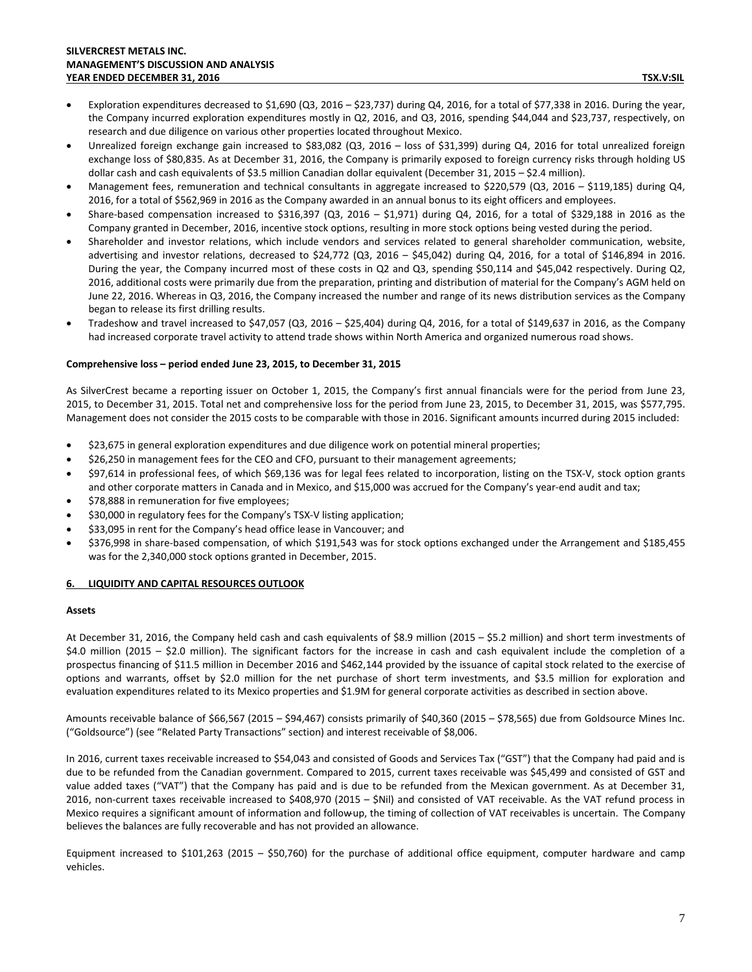- Exploration expenditures decreased to \$1,690 (Q3, 2016 \$23,737) during Q4, 2016, for a total of \$77,338 in 2016. During the year, the Company incurred exploration expenditures mostly in Q2, 2016, and Q3, 2016, spending \$44,044 and \$23,737, respectively, on research and due diligence on various other properties located throughout Mexico.
- Unrealized foreign exchange gain increased to \$83,082 (Q3, 2016 loss of \$31,399) during Q4, 2016 for total unrealized foreign exchange loss of \$80,835. As at December 31, 2016, the Company is primarily exposed to foreign currency risks through holding US dollar cash and cash equivalents of \$3.5 million Canadian dollar equivalent (December 31, 2015 – \$2.4 million).
- Management fees, remuneration and technical consultants in aggregate increased to \$220,579 (Q3, 2016 \$119,185) during Q4, 2016, for a total of \$562,969 in 2016 as the Company awarded in an annual bonus to its eight officers and employees.
- Share-based compensation increased to \$316,397 (Q3, 2016 \$1,971) during Q4, 2016, for a total of \$329,188 in 2016 as the Company granted in December, 2016, incentive stock options, resulting in more stock options being vested during the period.
- Shareholder and investor relations, which include vendors and services related to general shareholder communication, website, advertising and investor relations, decreased to \$24,772 (Q3, 2016 – \$45,042) during Q4, 2016, for a total of \$146,894 in 2016. During the year, the Company incurred most of these costs in Q2 and Q3, spending \$50,114 and \$45,042 respectively. During Q2, 2016, additional costs were primarily due from the preparation, printing and distribution of material for the Company's AGM held on June 22, 2016. Whereas in Q3, 2016, the Company increased the number and range of its news distribution services as the Company began to release its first drilling results.
- Tradeshow and travel increased to \$47,057 (Q3, 2016 \$25,404) during Q4, 2016, for a total of \$149,637 in 2016, as the Company had increased corporate travel activity to attend trade shows within North America and organized numerous road shows.

## **Comprehensive loss – period ended June 23, 2015, to December 31, 2015**

As SilverCrest became a reporting issuer on October 1, 2015, the Company's first annual financials were for the period from June 23, 2015, to December 31, 2015. Total net and comprehensive loss for the period from June 23, 2015, to December 31, 2015, was \$577,795. Management does not consider the 2015 costs to be comparable with those in 2016. Significant amounts incurred during 2015 included:

- \$23,675 in general exploration expenditures and due diligence work on potential mineral properties;
- \$26,250 in management fees for the CEO and CFO, pursuant to their management agreements;
- \$97,614 in professional fees, of which \$69,136 was for legal fees related to incorporation, listing on the TSX-V, stock option grants and other corporate matters in Canada and in Mexico, and \$15,000 was accrued for the Company's year-end audit and tax;
- \$78,888 in remuneration for five employees;
- \$30,000 in regulatory fees for the Company's TSX-V listing application;
- \$33,095 in rent for the Company's head office lease in Vancouver; and
- \$376,998 in share-based compensation, of which \$191,543 was for stock options exchanged under the Arrangement and \$185,455 was for the 2,340,000 stock options granted in December, 2015.

# <span id="page-6-0"></span>**6. LIQUIDITY AND CAPITAL RESOURCES OUTLOOK**

## **Assets**

At December 31, 2016, the Company held cash and cash equivalents of \$8.9 million (2015 – \$5.2 million) and short term investments of \$4.0 million (2015 – \$2.0 million). The significant factors for the increase in cash and cash equivalent include the completion of a prospectus financing of \$11.5 million in December 2016 and \$462,144 provided by the issuance of capital stock related to the exercise of options and warrants, offset by \$2.0 million for the net purchase of short term investments, and \$3.5 million for exploration and evaluation expenditures related to its Mexico properties and \$1.9M for general corporate activities as described in section above.

Amounts receivable balance of \$66,567 (2015 – \$94,467) consists primarily of \$40,360 (2015 – \$78,565) due from Goldsource Mines Inc. ("Goldsource") (see "Related Party Transactions" section) and interest receivable of \$8,006.

In 2016, current taxes receivable increased to \$54,043 and consisted of Goods and Services Tax ("GST") that the Company had paid and is due to be refunded from the Canadian government. Compared to 2015, current taxes receivable was \$45,499 and consisted of GST and value added taxes ("VAT") that the Company has paid and is due to be refunded from the Mexican government. As at December 31, 2016, non-current taxes receivable increased to \$408,970 (2015 – \$Nil) and consisted of VAT receivable. As the VAT refund process in Mexico requires a significant amount of information and follow-up, the timing of collection of VAT receivables is uncertain. The Company believes the balances are fully recoverable and has not provided an allowance.

Equipment increased to \$101,263 (2015 – \$50,760) for the purchase of additional office equipment, computer hardware and camp vehicles.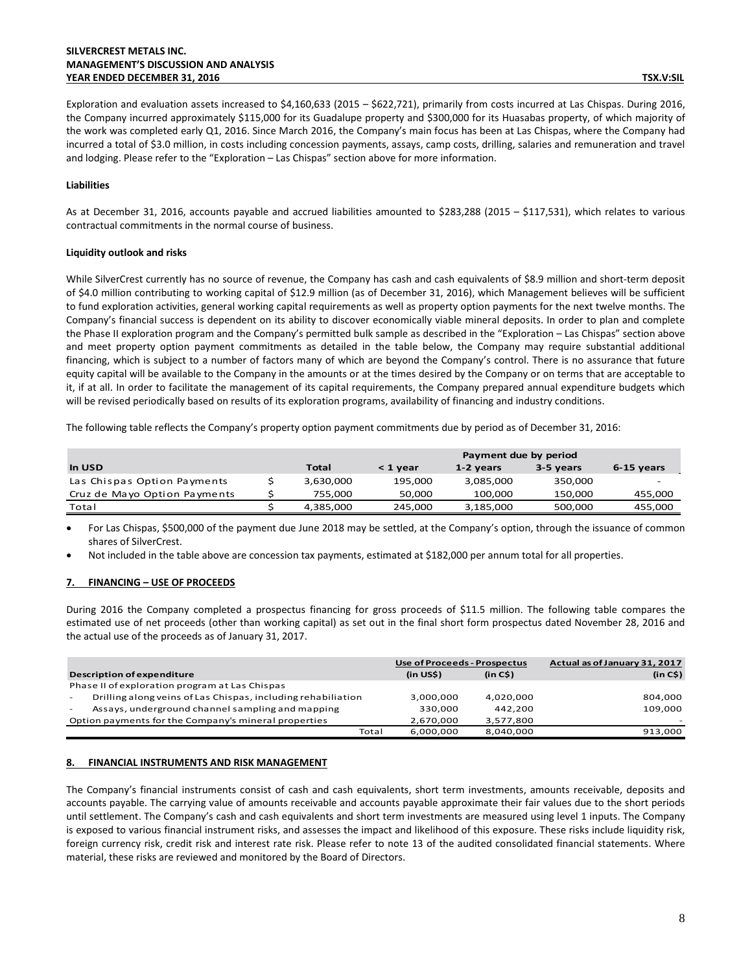## **SILVERCREST METALS INC. MANAGEMENT'S DISCUSSION AND ANALYSIS YEAR ENDED DECEMBER 31, 2016 TSX.V:SIL**

Exploration and evaluation assets increased to \$4,160,633 (2015 – \$622,721), primarily from costs incurred at Las Chispas. During 2016, the Company incurred approximately \$115,000 for its Guadalupe property and \$300,000 for its Huasabas property, of which majority of the work was completed early Q1, 2016. Since March 2016, the Company's main focus has been at Las Chispas, where the Company had incurred a total of \$3.0 million, in costs including concession payments, assays, camp costs, drilling, salaries and remuneration and travel and lodging. Please refer to the "Exploration – Las Chispas" section above for more information.

## **Liabilities**

As at December 31, 2016, accounts payable and accrued liabilities amounted to \$283,288 (2015 – \$117,531), which relates to various contractual commitments in the normal course of business.

## **Liquidity outlook and risks**

While SilverCrest currently has no source of revenue, the Company has cash and cash equivalents of \$8.9 million and short-term deposit of \$4.0 million contributing to working capital of \$12.9 million (as of December 31, 2016), which Management believes will be sufficient to fund exploration activities, general working capital requirements as well as property option payments for the next twelve months. The Company's financial success is dependent on its ability to discover economically viable mineral deposits. In order to plan and complete the Phase II exploration program and the Company's permitted bulk sample as described in the "Exploration – Las Chispas" section above and meet property option payment commitments as detailed in the table below, the Company may require substantial additional financing, which is subject to a number of factors many of which are beyond the Company's control. There is no assurance that future equity capital will be available to the Company in the amounts or at the times desired by the Company or on terms that are acceptable to it, if at all. In order to facilitate the management of its capital requirements, the Company prepared annual expenditure budgets which will be revised periodically based on results of its exploration programs, availability of financing and industry conditions.

The following table reflects the Company's property option payment commitments due by period as of December 31, 2016:

|                              |           | Payment due by period |           |           |            |
|------------------------------|-----------|-----------------------|-----------|-----------|------------|
| In USD                       | Total     | < 1 year              | 1-2 years | 3-5 years | 6-15 years |
| Las Chispas Option Payments  | 3,630,000 | 195,000               | 3,085,000 | 350,000   |            |
| Cruz de Mayo Option Payments | 755.000   | 50.000                | 100.000   | 150.000   | 455,000    |
| Total                        | 4,385,000 | 245,000               | 3,185,000 | 500,000   | 455,000    |

• For Las Chispas, \$500,000 of the payment due June 2018 may be settled, at the Company's option, through the issuance of common shares of SilverCrest.

• Not included in the table above are concession tax payments, estimated at \$182,000 per annum total for all properties.

# <span id="page-7-0"></span>**7. FINANCING – USE OF PROCEEDS**

During 2016 the Company completed a prospectus financing for gross proceeds of \$11.5 million. The following table compares the estimated use of net proceeds (other than working capital) as set out in the final short form prospectus dated November 28, 2016 and the actual use of the proceeds as of January 31, 2017.

|                                                                                          | Use of Proceeds - Prospectus |           | Actual as of January 31, 2017 |
|------------------------------------------------------------------------------------------|------------------------------|-----------|-------------------------------|
| <b>Description of expenditure</b>                                                        | (in US\$)                    | (in C\$)  | (in C\$)                      |
| Phase II of exploration program at Las Chispas                                           |                              |           |                               |
| Drilling along veins of Las Chispas, including rehabiliation<br>$\overline{\phantom{a}}$ | 3,000,000                    | 4.020.000 | 804,000                       |
| Assays, underground channel sampling and mapping<br>$\sim$                               | 330.000                      | 442.200   | 109,000                       |
| Option payments for the Company's mineral properties                                     | 2.670.000                    | 3,577,800 |                               |
| Total                                                                                    | 6,000,000                    | 8,040,000 | 913,000                       |

# <span id="page-7-1"></span>**8. FINANCIAL INSTRUMENTS AND RISK MANAGEMENT**

The Company's financial instruments consist of cash and cash equivalents, short term investments, amounts receivable, deposits and accounts payable. The carrying value of amounts receivable and accounts payable approximate their fair values due to the short periods until settlement. The Company's cash and cash equivalents and short term investments are measured using level 1 inputs. The Company is exposed to various financial instrument risks, and assesses the impact and likelihood of this exposure. These risks include liquidity risk, foreign currency risk, credit risk and interest rate risk. Please refer to note 13 of the audited consolidated financial statements. Where material, these risks are reviewed and monitored by the Board of Directors.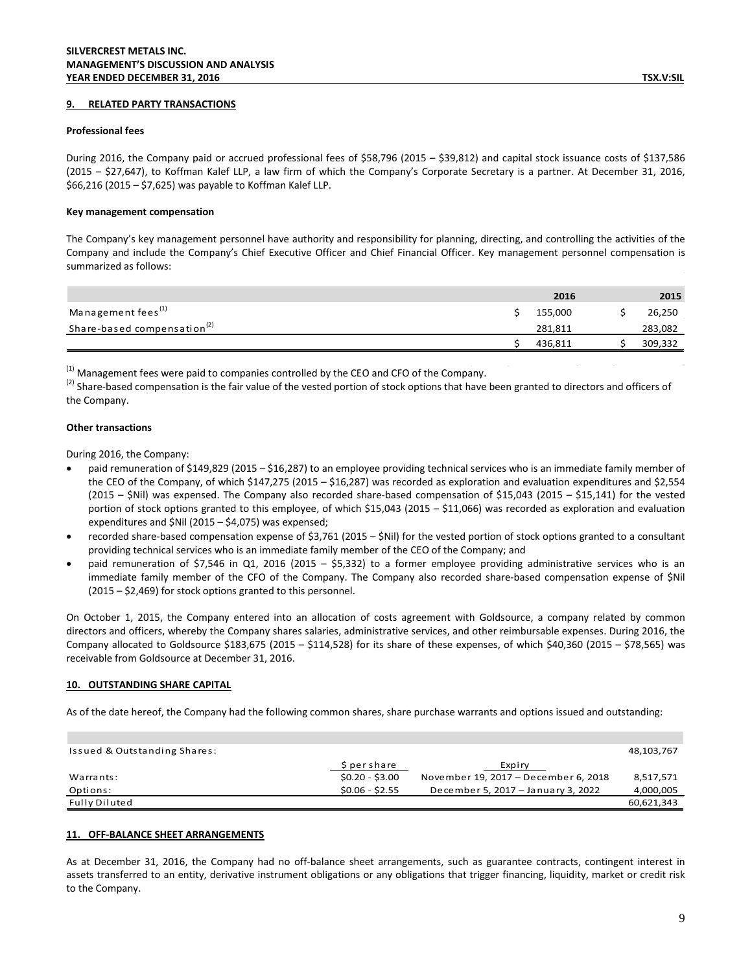#### <span id="page-8-0"></span>**9. RELATED PARTY TRANSACTIONS**

#### **Professional fees**

During 2016, the Company paid or accrued professional fees of \$58,796 (2015 – \$39,812) and capital stock issuance costs of \$137,586 (2015 – \$27,647), to Koffman Kalef LLP, a law firm of which the Company's Corporate Secretary is a partner. At December 31, 2016, \$66,216 (2015 – \$7,625) was payable to Koffman Kalef LLP.

#### **Key management compensation**

The Company's key management personnel have authority and responsibility for planning, directing, and controlling the activities of the Company and include the Company's Chief Executive Officer and Chief Financial Officer. Key management personnel compensation is summarized as follows:

|                                         | 2016    | 2015    |
|-----------------------------------------|---------|---------|
| Management fees <sup>(1)</sup>          | 155,000 | 26,250  |
| Share-based compensation <sup>(2)</sup> | 281,811 | 283,082 |
|                                         | 436.811 | 309,332 |

 $(1)$  Management fees were paid to companies controlled by the CEO and CFO of the Company.

 $^{(2)}$  Share-based compensation is the fair value of the vested portion of stock options that have been granted to directors and officers of the Company.

#### **Other transactions**

During 2016, the Company:

- paid remuneration of \$149,829 (2015 \$16,287) to an employee providing technical services who is an immediate family member of the CEO of the Company, of which \$147,275 (2015 – \$16,287) was recorded as exploration and evaluation expenditures and \$2,554 (2015 – \$Nil) was expensed. The Company also recorded share-based compensation of \$15,043 (2015 – \$15,141) for the vested portion of stock options granted to this employee, of which \$15,043 (2015 – \$11,066) was recorded as exploration and evaluation expenditures and \$Nil (2015 – \$4,075) was expensed;
- recorded share-based compensation expense of \$3,761 (2015 \$Nil) for the vested portion of stock options granted to a consultant providing technical services who is an immediate family member of the CEO of the Company; and
- paid remuneration of \$7,546 in Q1, 2016 (2015 \$5,332) to a former employee providing administrative services who is an immediate family member of the CFO of the Company. The Company also recorded share-based compensation expense of \$Nil (2015 – \$2,469) for stock options granted to this personnel.

On October 1, 2015, the Company entered into an allocation of costs agreement with Goldsource, a company related by common directors and officers, whereby the Company shares salaries, administrative services, and other reimbursable expenses. During 2016, the Company allocated to Goldsource \$183,675 (2015 – \$114,528) for its share of these expenses, of which \$40,360 (2015 – \$78,565) was receivable from Goldsource at December 31, 2016.

## <span id="page-8-1"></span>**10. OUTSTANDING SHARE CAPITAL**

As of the date hereof, the Company had the following common shares, share purchase warrants and options issued and outstanding:

| Issued & Outstanding Shares: |                 |                                      | 48,103,767 |
|------------------------------|-----------------|--------------------------------------|------------|
|                              | S per share     | Expiry                               |            |
| Warrants:                    | $$0.20 - $3.00$ | November 19, 2017 - December 6, 2018 | 8,517,571  |
| Options:                     | $$0.06 - $2.55$ | December 5, 2017 - January 3, 2022   | 4,000,005  |
| Fully Diluted                |                 |                                      | 60,621,343 |

## <span id="page-8-2"></span>**11. OFF-BALANCE SHEET ARRANGEMENTS**

As at December 31, 2016, the Company had no off-balance sheet arrangements, such as guarantee contracts, contingent interest in assets transferred to an entity, derivative instrument obligations or any obligations that trigger financing, liquidity, market or credit risk to the Company.